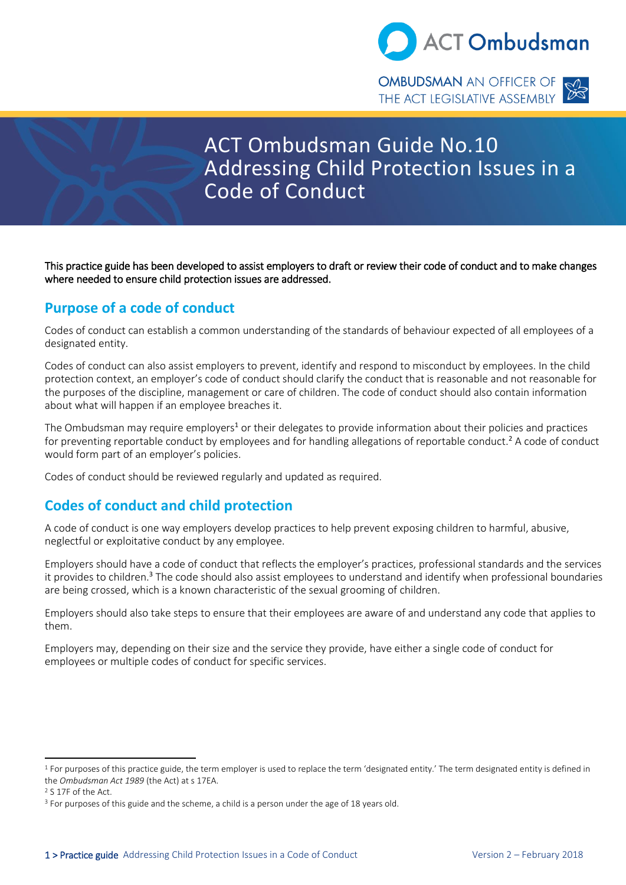

**OMBUDSMAN** AN OFFICER OF THE ACT LEGISLATIVE ASSEMBLY



# ACT Ombudsman Guide No.10 Addressing Child Protection Issues in a Code of Conduct

This practice guide has been developed to assist employers to draft or review their code of conduct and to make changes where needed to ensure child protection issues are addressed.

#### **Purpose of a code of conduct**

Codes of conduct can establish a common understanding of the standards of behaviour expected of all employees of a designated entity.

Codes of conduct can also assist employers to prevent, identify and respond to misconduct by employees. In the child protection context, an employer's code of conduct should clarify the conduct that is reasonable and not reasonable for the purposes of the discipline, management or care of children. The code of conduct should also contain information about what will happen if an employee breaches it.

The Ombudsman may require employers<sup>1</sup> or their delegates to provide information about their policies and practices for preventing reportable conduct by employees and for handling allegations of reportable conduct.<sup>2</sup> A code of conduct would form part of an employer's policies.

Codes of conduct should be reviewed regularly and updated as required.

## **Codes of conduct and child protection**

A code of conduct is one way employers develop practices to help prevent exposing children to harmful, abusive, neglectful or exploitative conduct by any employee.

Employers should have a code of conduct that reflects the employer's practices, professional standards and the services it provides to children.<sup>3</sup> The code should also assist employees to understand and identify when professional boundaries are being crossed, which is a known characteristic of the sexual grooming of children.

Employers should also take steps to ensure that their employees are aware of and understand any code that applies to them.

Employers may, depending on their size and the service they provide, have either a single code of conduct for employees or multiple codes of conduct for specific services.

 $1$  For purposes of this practice guide, the term employer is used to replace the term 'designated entity.' The term designated entity is defined in the *Ombudsman Act 1989* (the Act) at s 17EA.

<sup>2</sup> S 17F of the Act.

<sup>&</sup>lt;sup>3</sup> For purposes of this guide and the scheme, a child is a person under the age of 18 years old.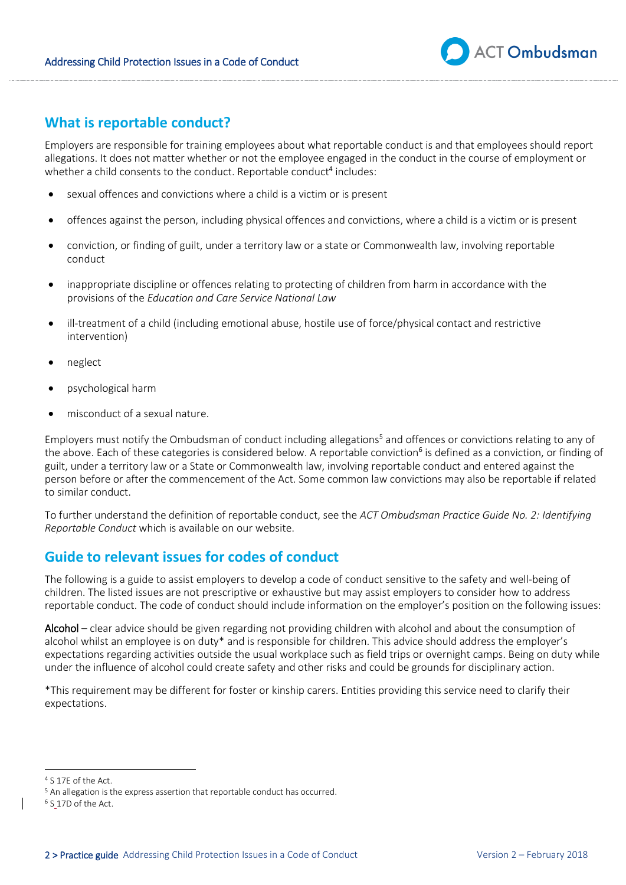

#### **What is reportable conduct?**

Employers are responsible for training employees about what reportable conduct is and that employees should report allegations. It does not matter whether or not the employee engaged in the conduct in the course of employment or whether a child consents to the conduct. Reportable conduct<sup>4</sup> includes:

- sexual offences and convictions where a child is a victim or is present
- offences against the person, including physical offences and convictions, where a child is a victim or is present
- conviction, or finding of guilt, under a territory law or a state or Commonwealth law, involving reportable conduct
- inappropriate discipline or offences relating to protecting of children from harm in accordance with the provisions of the *Education and Care Service National Law*
- ill-treatment of a child (including emotional abuse, hostile use of force/physical contact and restrictive intervention)
- neglect
- psychological harm
- misconduct of a sexual nature.

Employers must notify the Ombudsman of conduct including allegations<sup>5</sup> and offences or convictions relating to any of the above. Each of these categories is considered below. A reportable conviction<sup>6</sup> is defined as a conviction, or finding of guilt, under a territory law or a State or Commonwealth law, involving reportable conduct and entered against the person before or after the commencement of the Act. Some common law convictions may also be reportable if related to similar conduct.

To further understand the definition of reportable conduct, see the *ACT Ombudsman Practice Guide No. 2: Identifying Reportable Conduct* which is available on our website.

#### **Guide to relevant issues for codes of conduct**

The following is a guide to assist employers to develop a code of conduct sensitive to the safety and well-being of children. The listed issues are not prescriptive or exhaustive but may assist employers to consider how to address reportable conduct. The code of conduct should include information on the employer's position on the following issues:

Alcohol – clear advice should be given regarding not providing children with alcohol and about the consumption of alcohol whilst an employee is on duty\* and is responsible for children. This advice should address the employer's expectations regarding activities outside the usual workplace such as field trips or overnight camps. Being on duty while under the influence of alcohol could create safety and other risks and could be grounds for disciplinary action.

\*This requirement may be different for foster or kinship carers. Entities providing this service need to clarify their expectations.

<sup>4</sup> S 17E of the Act.

<sup>&</sup>lt;sup>5</sup> An allegation is the express assertion that reportable conduct has occurred.

<sup>&</sup>lt;sup>6</sup> S\_17D of the Act.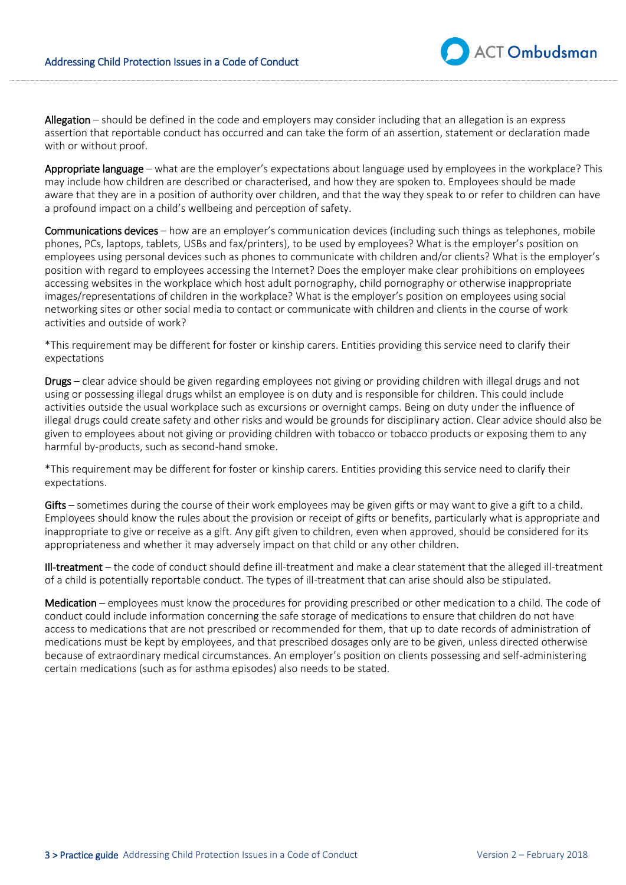Allegation – should be defined in the code and employers may consider including that an allegation is an express assertion that reportable conduct has occurred and can take the form of an assertion, statement or declaration made with or without proof.

Appropriate language – what are the employer's expectations about language used by employees in the workplace? This may include how children are described or characterised, and how they are spoken to. Employees should be made aware that they are in a position of authority over children, and that the way they speak to or refer to children can have a profound impact on a child's wellbeing and perception of safety.

Communications devices – how are an employer's communication devices (including such things as telephones, mobile phones, PCs, laptops, tablets, USBs and fax/printers), to be used by employees? What is the employer's position on employees using personal devices such as phones to communicate with children and/or clients? What is the employer's position with regard to employees accessing the Internet? Does the employer make clear prohibitions on employees accessing websites in the workplace which host adult pornography, child pornography or otherwise inappropriate images/representations of children in the workplace? What is the employer's position on employees using social networking sites or other social media to contact or communicate with children and clients in the course of work activities and outside of work?

\*This requirement may be different for foster or kinship carers. Entities providing this service need to clarify their expectations

Drugs – clear advice should be given regarding employees not giving or providing children with illegal drugs and not using or possessing illegal drugs whilst an employee is on duty and is responsible for children. This could include activities outside the usual workplace such as excursions or overnight camps. Being on duty under the influence of illegal drugs could create safety and other risks and would be grounds for disciplinary action. Clear advice should also be given to employees about not giving or providing children with tobacco or tobacco products or exposing them to any harmful by-products, such as second-hand smoke.

\*This requirement may be different for foster or kinship carers. Entities providing this service need to clarify their expectations.

Gifts – sometimes during the course of their work employees may be given gifts or may want to give a gift to a child. Employees should know the rules about the provision or receipt of gifts or benefits, particularly what is appropriate and inappropriate to give or receive as a gift. Any gift given to children, even when approved, should be considered for its appropriateness and whether it may adversely impact on that child or any other children.

Ill-treatment – the code of conduct should define ill-treatment and make a clear statement that the alleged ill-treatment of a child is potentially reportable conduct. The types of ill-treatment that can arise should also be stipulated.

Medication – employees must know the procedures for providing prescribed or other medication to a child. The code of conduct could include information concerning the safe storage of medications to ensure that children do not have access to medications that are not prescribed or recommended for them, that up to date records of administration of medications must be kept by employees, and that prescribed dosages only are to be given, unless directed otherwise because of extraordinary medical circumstances. An employer's position on clients possessing and self-administering certain medications (such as for asthma episodes) also needs to be stated.

**ACT Ombudsman**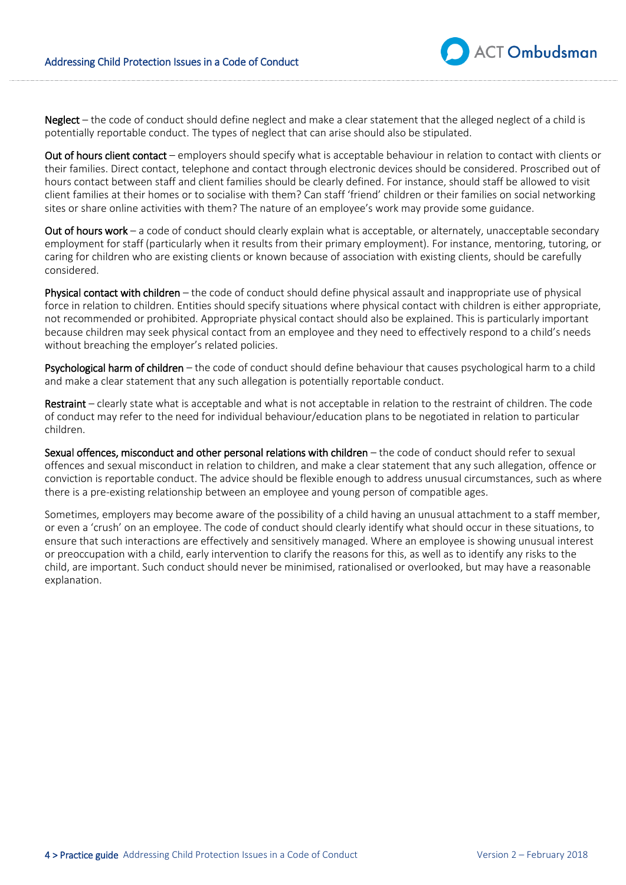Neglect – the code of conduct should define neglect and make a clear statement that the alleged neglect of a child is potentially reportable conduct. The types of neglect that can arise should also be stipulated.

Out of hours client contact – employers should specify what is acceptable behaviour in relation to contact with clients or their families. Direct contact, telephone and contact through electronic devices should be considered. Proscribed out of hours contact between staff and client families should be clearly defined. For instance, should staff be allowed to visit client families at their homes or to socialise with them? Can staff 'friend' children or their families on social networking sites or share online activities with them? The nature of an employee's work may provide some guidance.

Out of hours work – a code of conduct should clearly explain what is acceptable, or alternately, unacceptable secondary employment for staff (particularly when it results from their primary employment). For instance, mentoring, tutoring, or caring for children who are existing clients or known because of association with existing clients, should be carefully considered.

Physical contact with children – the code of conduct should define physical assault and inappropriate use of physical force in relation to children. Entities should specify situations where physical contact with children is either appropriate, not recommended or prohibited. Appropriate physical contact should also be explained. This is particularly important because children may seek physical contact from an employee and they need to effectively respond to a child's needs without breaching the employer's related policies.

**Psychological harm of children** – the code of conduct should define behaviour that causes psychological harm to a child and make a clear statement that any such allegation is potentially reportable conduct.

Restraint – clearly state what is acceptable and what is not acceptable in relation to the restraint of children. The code of conduct may refer to the need for individual behaviour/education plans to be negotiated in relation to particular children.

Sexual offences, misconduct and other personal relations with children – the code of conduct should refer to sexual offences and sexual misconduct in relation to children, and make a clear statement that any such allegation, offence or conviction is reportable conduct. The advice should be flexible enough to address unusual circumstances, such as where there is a pre-existing relationship between an employee and young person of compatible ages.

Sometimes, employers may become aware of the possibility of a child having an unusual attachment to a staff member, or even a 'crush' on an employee. The code of conduct should clearly identify what should occur in these situations, to ensure that such interactions are effectively and sensitively managed. Where an employee is showing unusual interest or preoccupation with a child, early intervention to clarify the reasons for this, as well as to identify any risks to the child, are important. Such conduct should never be minimised, rationalised or overlooked, but may have a reasonable explanation.

**ACT Ombudsman**